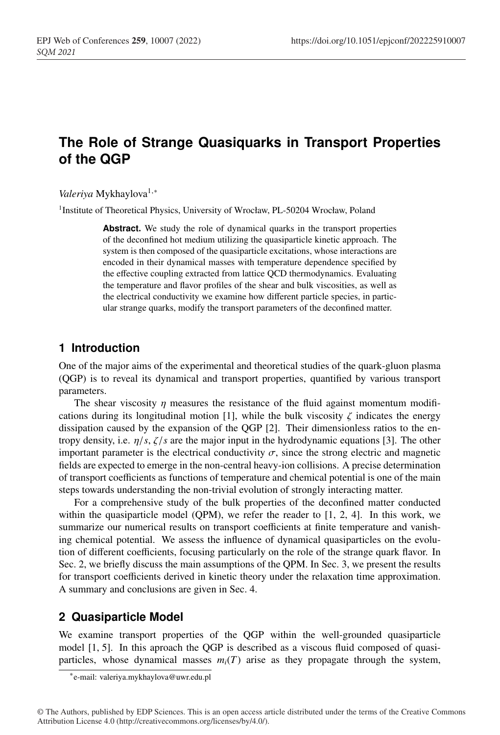# **The Role of Strange Quasiquarks in Transport Properties of the QGP**

*Valeriya* Mykhaylova<sup>1,\*</sup>

<sup>1</sup> Institute of Theoretical Physics, University of Wrocław, PL-50204 Wrocław, Poland

**Abstract.** We study the role of dynamical quarks in the transport properties of the deconfined hot medium utilizing the quasiparticle kinetic approach. The system is then composed of the quasiparticle excitations, whose interactions are encoded in their dynamical masses with temperature dependence specified by the effective coupling extracted from lattice QCD thermodynamics. Evaluating the temperature and flavor profiles of the shear and bulk viscosities, as well as the electrical conductivity we examine how different particle species, in particular strange quarks, modify the transport parameters of the deconfined matter.

#### **1 Introduction**

One of the major aims of the experimental and theoretical studies of the quark-gluon plasma (QGP) is to reveal its dynamical and transport properties, quantified by various transport parameters.

The shear viscosity  $\eta$  measures the resistance of the fluid against momentum modifications during its longitudinal motion [1], while the bulk viscosity  $\zeta$  indicates the energy dissipation caused by the expansion of the QGP [2]. Their dimensionless ratios to the entropy density, i.e. η/*s*, ζ/*s* are the major input in the hydrodynamic equations [3]. The other important parameter is the electrical conductivity  $\sigma$ , since the strong electric and magnetic fields are expected to emerge in the non-central heavy-ion collisions. A precise determination of transport coefficients as functions of temperature and chemical potential is one of the main steps towards understanding the non-trivial evolution of strongly interacting matter.

For a comprehensive study of the bulk properties of the deconfined matter conducted within the quasiparticle model (QPM), we refer the reader to  $[1, 2, 4]$ . In this work, we summarize our numerical results on transport coefficients at finite temperature and vanishing chemical potential. We assess the influence of dynamical quasiparticles on the evolution of different coefficients, focusing particularly on the role of the strange quark flavor. In Sec. 2, we briefly discuss the main assumptions of the QPM. In Sec. 3, we present the results for transport coefficients derived in kinetic theory under the relaxation time approximation. A summary and conclusions are given in Sec. 4.

## **2 Quasiparticle Model**

We examine transport properties of the QGP within the well-grounded quasiparticle model [1, 5]. In this aproach the QGP is described as a viscous fluid composed of quasiparticles, whose dynamical masses  $m_i(T)$  arise as they propagate through the system,

<sup>∗</sup>e-mail: valeriya.mykhaylova@uwr.edu.pl

<sup>©</sup> The Authors, published by EDP Sciences. This is an open access article distributed under the terms of the Creative Commons Attribution License 4.0 (http://creativecommons.org/licenses/by/4.0/).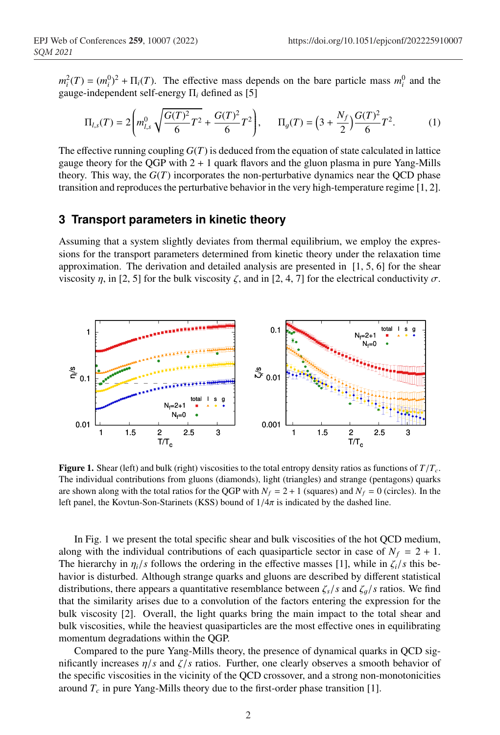$m_i^2(T) = (m_i^0)^2 + \Pi_i(T)$ . The effective mass depends on the bare particle mass  $m_i^0$  and the gauge-independent self-energy Π*<sup>i</sup>* defined as [5]

$$
\Pi_{l,s}(T) = 2\left(m_{l,s}^0 \sqrt{\frac{G(T)^2}{6}T^2} + \frac{G(T)^2}{6}T^2\right), \qquad \Pi_g(T) = \left(3 + \frac{N_f}{2}\right)\frac{G(T)^2}{6}T^2. \tag{1}
$$

The effective running coupling  $G(T)$  is deduced from the equation of state calculated in lattice gauge theory for the OGP with  $2 + 1$  quark flavors and the gluon plasma in pure Yang-Mills theory. This way, the  $G(T)$  incorporates the non-perturbative dynamics near the QCD phase transition and reproduces the perturbative behavior in the very high-temperature regime [1, 2].

### **3 Transport parameters in kinetic theory**

Assuming that a system slightly deviates from thermal equilibrium, we employ the expressions for the transport parameters determined from kinetic theory under the relaxation time approximation. The derivation and detailed analysis are presented in  $[1, 5, 6]$  for the shear viscosity η, in [2, 5] for the bulk viscosity ζ, and in [2, 4, 7] for the electrical conductivity  $\sigma$ .



**Figure 1.** Shear (left) and bulk (right) viscosities to the total entropy density ratios as functions of  $T/T_c$ . The individual contributions from gluons (diamonds), light (triangles) and strange (pentagons) quarks are shown along with the total ratios for the QGP with  $N_f = 2 + 1$  (squares) and  $N_f = 0$  (circles). In the left panel, the Kovtun-Son-Starinets (KSS) bound of  $1/4\pi$  is indicated by the dashed line.

In Fig. 1 we present the total specific shear and bulk viscosities of the hot QCD medium, along with the individual contributions of each quasiparticle sector in case of  $N_f = 2 + 1$ . The hierarchy in  $\eta_i/s$  follows the ordering in the effective masses [1], while in  $\zeta_i/s$  this behavior is disturbed. Although strange quarks and gluons are described by different statistical distributions, there appears a quantitative resemblance between  $\zeta_s/s$  and  $\zeta_a/s$  ratios. We find that the similarity arises due to a convolution of the factors entering the expression for the bulk viscosity [2]. Overall, the light quarks bring the main impact to the total shear and bulk viscosities, while the heaviest quasiparticles are the most effective ones in equilibrating momentum degradations within the QGP.

Compared to the pure Yang-Mills theory, the presence of dynamical quarks in QCD significantly increases  $\eta/s$  and  $\zeta/s$  ratios. Further, one clearly observes a smooth behavior of the specific viscosities in the vicinity of the QCD crossover, and a strong non-monotonicities around  $T_c$  in pure Yang-Mills theory due to the first-order phase transition [1].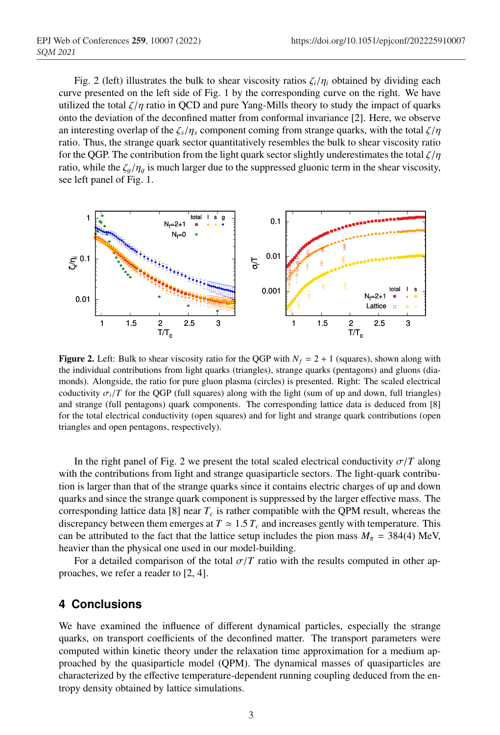Fig. 2 (left) illustrates the bulk to shear viscosity ratios  $\zeta_i/\eta_i$  obtained by dividing each curve presented on the left side of Fig. 1 by the corresponding curve on the right. We have utilized the total  $\zeta/\eta$  ratio in QCD and pure Yang-Mills theory to study the impact of quarks onto the deviation of the deconfined matter from conformal invariance [2]. Here, we observe an interesting overlap of the  $\zeta_s/\eta_s$  component coming from strange quarks, with the total  $\zeta/\eta$ ratio. Thus, the strange quark sector quantitatively resembles the bulk to shear viscosity ratio for the QGP. The contribution from the light quark sector slightly underestimates the total  $\zeta/\eta$ ratio, while the  $\zeta_a/\eta_a$  is much larger due to the suppressed gluonic term in the shear viscosity, see left panel of Fig. 1.



**Figure 2.** Left: Bulk to shear viscosity ratio for the QGP with  $N_f = 2 + 1$  (squares), shown along with the individual contributions from light quarks (triangles), strange quarks (pentagons) and gluons (diamonds). Alongside, the ratio for pure gluon plasma (circles) is presented. Right: The scaled electrical coductivity  $\sigma_i/T$  for the QGP (full squares) along with the light (sum of up and down, full triangles) and strange (full pentagons) quark components. The corresponding lattice data is deduced from [8] for the total electrical conductivity (open squares) and for light and strange quark contributions (open triangles and open pentagons, respectively).

In the right panel of Fig. 2 we present the total scaled electrical conductivity  $\sigma/T$  along with the contributions from light and strange quasiparticle sectors. The light-quark contribution is larger than that of the strange quarks since it contains electric charges of up and down quarks and since the strange quark component is suppressed by the larger effective mass. The corresponding lattice data [8] near  $T_c$  is rather compatible with the QPM result, whereas the discrepancy between them emerges at  $T \approx 1.5 T_c$  and increases gently with temperature. This can be attributed to the fact that the lattice setup includes the pion mass  $M_\pi = 384(4)$  MeV, heavier than the physical one used in our model-building.

For a detailed comparison of the total  $\sigma/T$  ratio with the results computed in other approaches, we refer a reader to [2, 4].

### **4 Conclusions**

We have examined the influence of different dynamical particles, especially the strange quarks, on transport coefficients of the deconfined matter. The transport parameters were computed within kinetic theory under the relaxation time approximation for a medium approached by the quasiparticle model (QPM). The dynamical masses of quasiparticles are characterized by the effective temperature-dependent running coupling deduced from the entropy density obtained by lattice simulations.